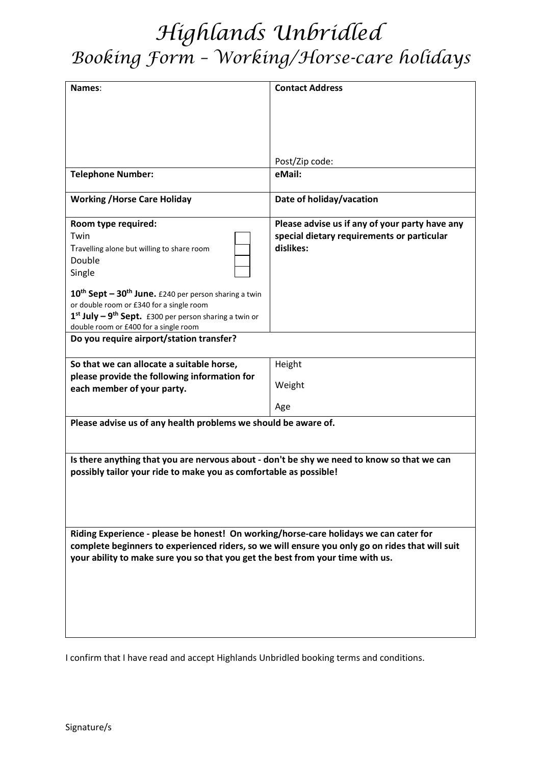## *Highlands Unbridled Booking Form – Working/Horse-care holidays*

| Names:                                                                                                                                                          | <b>Contact Address</b>                         |
|-----------------------------------------------------------------------------------------------------------------------------------------------------------------|------------------------------------------------|
|                                                                                                                                                                 |                                                |
|                                                                                                                                                                 |                                                |
|                                                                                                                                                                 |                                                |
|                                                                                                                                                                 |                                                |
|                                                                                                                                                                 |                                                |
|                                                                                                                                                                 | Post/Zip code:                                 |
| <b>Telephone Number:</b>                                                                                                                                        | eMail:                                         |
| <b>Working / Horse Care Holiday</b>                                                                                                                             | Date of holiday/vacation                       |
| Room type required:                                                                                                                                             | Please advise us if any of your party have any |
| Twin                                                                                                                                                            | special dietary requirements or particular     |
| Travelling alone but willing to share room                                                                                                                      | dislikes:                                      |
| Double                                                                                                                                                          |                                                |
| Single                                                                                                                                                          |                                                |
| $10^{\text{th}}$ Sept – 30 <sup>th</sup> June. £240 per person sharing a twin                                                                                   |                                                |
| or double room or £340 for a single room                                                                                                                        |                                                |
| $1st$ July – 9 <sup>th</sup> Sept. £300 per person sharing a twin or                                                                                            |                                                |
| double room or £400 for a single room<br>Do you require airport/station transfer?                                                                               |                                                |
|                                                                                                                                                                 |                                                |
| So that we can allocate a suitable horse,                                                                                                                       | Height                                         |
| please provide the following information for                                                                                                                    | Weight                                         |
| each member of your party.                                                                                                                                      |                                                |
|                                                                                                                                                                 | Age                                            |
| Please advise us of any health problems we should be aware of.                                                                                                  |                                                |
|                                                                                                                                                                 |                                                |
|                                                                                                                                                                 |                                                |
| Is there anything that you are nervous about - don't be shy we need to know so that we can<br>possibly tailor your ride to make you as comfortable as possible! |                                                |
|                                                                                                                                                                 |                                                |
|                                                                                                                                                                 |                                                |
|                                                                                                                                                                 |                                                |
|                                                                                                                                                                 |                                                |
| Riding Experience - please be honest! On working/horse-care holidays we can cater for                                                                           |                                                |
| complete beginners to experienced riders, so we will ensure you only go on rides that will suit                                                                 |                                                |
| your ability to make sure you so that you get the best from your time with us.                                                                                  |                                                |
|                                                                                                                                                                 |                                                |
|                                                                                                                                                                 |                                                |
|                                                                                                                                                                 |                                                |
|                                                                                                                                                                 |                                                |
|                                                                                                                                                                 |                                                |

I confirm that I have read and accept Highlands Unbridled booking terms and conditions.